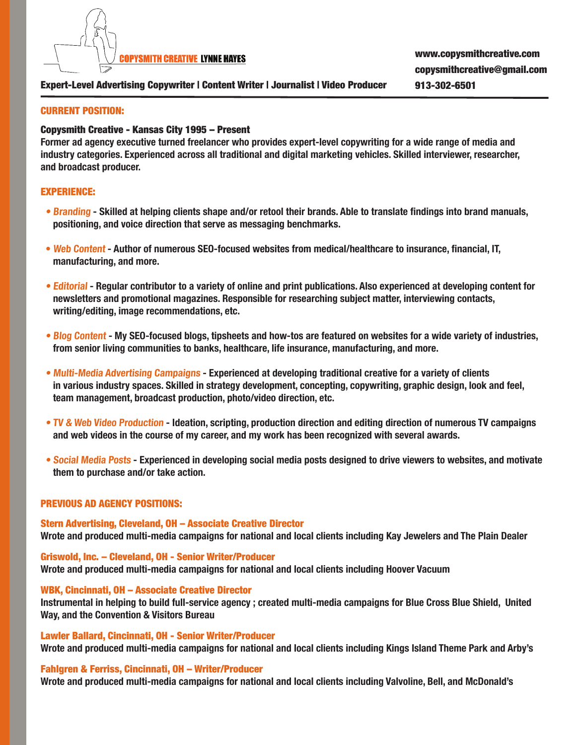

# Expert-Level Advertising Copywriter | Content Writer | Journalist | Video Producer 913-302-6501

## CURRENT POSITION:

## Copysmith Creative - Kansas City 1995 – Present

**Former ad agency executive turned freelancer who provides expert-level copywriting for a wide range of media and industry categories. Experienced across all traditional and digital marketing vehicles. Skilled interviewer, researcher, and broadcast producer.**

## EXPERIENCE:

- **Branding Skilled at helping clients shape and/or retool their brands. Able to translate findings into brand manuals, positioning, and voice direction that serve as messaging benchmarks.**
- **Web Content Author of numerous SEO-focused websites from medical/healthcare to insurance, financial, IT, manufacturing, and more.**
- **Editorial Regular contributor to a variety of online and print publications. Also experienced at developing content for newsletters and promotional magazines. Responsible for researching subject matter, interviewing contacts, writing/editing, image recommendations, etc.**
- **Blog Content My SEO-focused blogs, tipsheets and how-tos are featured on websites for a wide variety of industries, from senior living communities to banks, healthcare, life insurance, manufacturing, and more.**
- **Multi-Media Advertising Campaigns Experienced at developing traditional creative for a variety of clients in various industry spaces. Skilled in strategy development, concepting, copywriting, graphic design, look and feel, team management, broadcast production, photo/video direction, etc.**
- **TV & Web Video Production Ideation, scripting, production direction and editing direction of numerous TV campaigns and web videos in the course of my career, and my work has been recognized with several awards.**
- **Social Media Posts Experienced in developing social media posts designed to drive viewers to websites, and motivate them to purchase and/or take action.**

## PREVIOUS AD AGENCY POSITIONS:

Stern Advertising, Cleveland, OH – Associate Creative Director **Wrote and produced multi-media campaigns for national and local clients including Kay Jewelers and The Plain Dealer** 

Griswold, Inc. – Cleveland, OH - Senior Writer/Producer **Wrote and produced multi-media campaigns for national and local clients including Hoover Vacuum**

## WBK, Cincinnati, OH – Associate Creative Director

**Instrumental in helping to build full-service agency ; created multi-media campaigns for Blue Cross Blue Shield, United Way, and the Convention & Visitors Bureau** 

Lawler Ballard, Cincinnati, OH - Senior Writer/Producer **Wrote and produced multi-media campaigns for national and local clients including Kings Island Theme Park and Arby's**

#### Fahlgren & Ferriss, Cincinnati, OH – Writer/Producer

**Wrote and produced multi-media campaigns for national and local clients including Valvoline, Bell, and McDonald's**